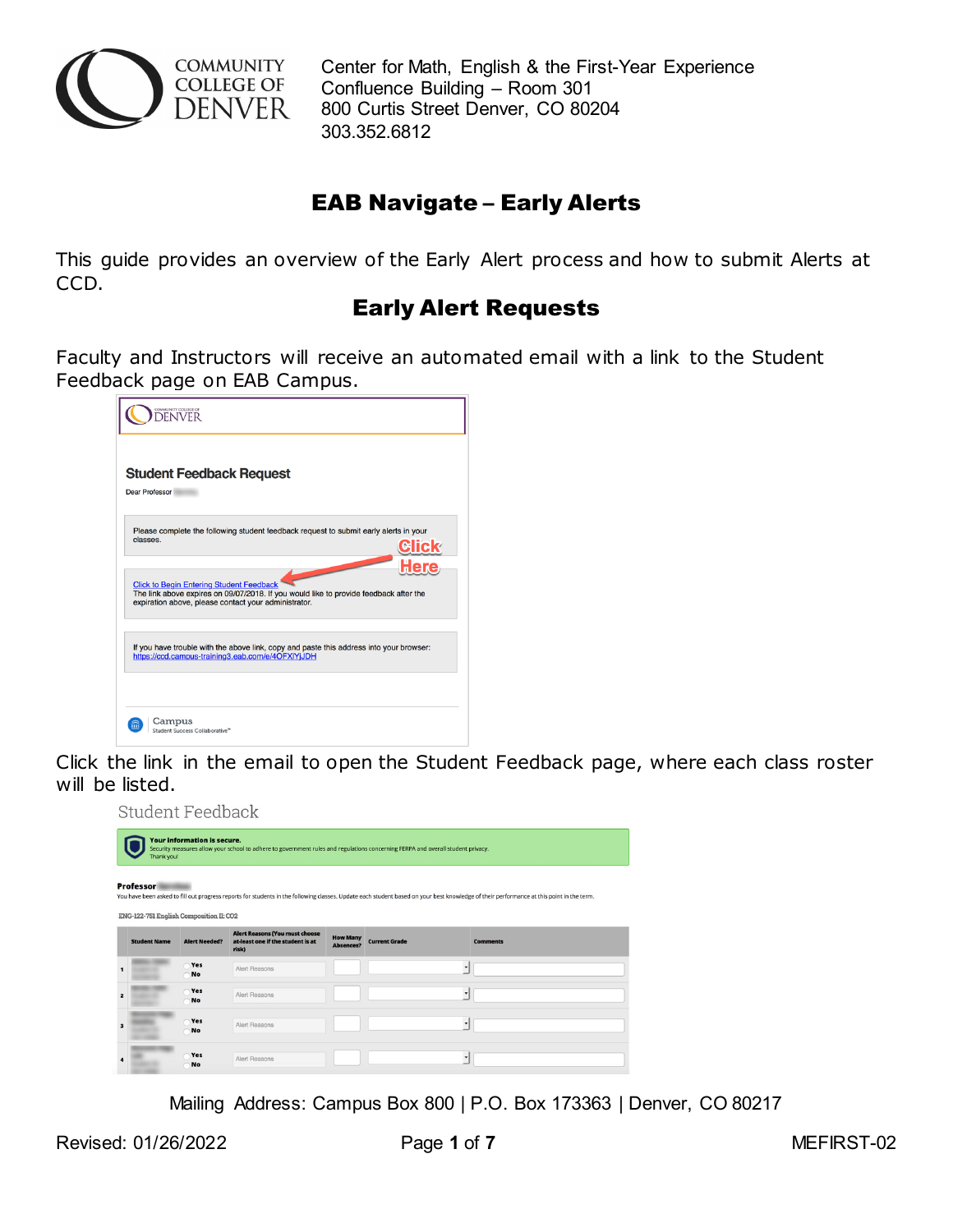

 Center for Math, English & the First-Year Experience Confluence Building – Room 301 800 Curtis Street Denver, CO 80204 303.352.6812

## EAB Navigate – Early Alerts

This guide provides an overview of the Early Alert process and how to submit Alerts at CCD.

## Early Alert Requests

Faculty and Instructors will receive an automated email with a link to the Student Feedback page on EAB Campus.

|                       | COMMUNITY COLLEGE OF<br><b>ENVER</b>                                                                                                                                                             |
|-----------------------|--------------------------------------------------------------------------------------------------------------------------------------------------------------------------------------------------|
| <b>Dear Professor</b> | <b>Student Feedback Request</b>                                                                                                                                                                  |
| classes.              | Please complete the following student feedback request to submit early alerts in your                                                                                                            |
|                       | <b>Click to Begin Entering Student Feedback</b><br>The link above expires on 09/07/2018. If you would like to provide feedback after the<br>expiration above, please contact your administrator. |
|                       | If you have trouble with the above link, copy and paste this address into your browser:<br>https://ccd.campus-training3.eab.com/e/4OFXIYjJDH                                                     |
|                       | Campus<br>Student Success Collaborative <sup>®</sup>                                                                                                                                             |

Click the link in the email to open the Student Feedback page, where each class roster will be listed.

Student Feedback

| <b>Your information is secure.</b><br>Security measures allow your school to adhere to government rules and regulations concerning FERPA and overall student privacy.<br>Thank you!<br>Professor<br>You have been asked to fill out progress reports for students in the following classes. Update each student based on your best knowledge of their performance at this point in the term.<br>ENG-122-751 English Composition II: CO2 |                      |                                                                                     |                              |                      |                          |  |  |
|-----------------------------------------------------------------------------------------------------------------------------------------------------------------------------------------------------------------------------------------------------------------------------------------------------------------------------------------------------------------------------------------------------------------------------------------|----------------------|-------------------------------------------------------------------------------------|------------------------------|----------------------|--------------------------|--|--|
| <b>Student Name</b>                                                                                                                                                                                                                                                                                                                                                                                                                     | <b>Alert Needed?</b> | <b>Alert Reasons (You must choose</b><br>at-least one if the student is at<br>risk) | <b>How Many</b><br>Absences? | <b>Current Grade</b> | <b>Comments</b>          |  |  |
|                                                                                                                                                                                                                                                                                                                                                                                                                                         | Yes<br><b>No</b>     | Alert Reasons                                                                       |                              |                      | $\overline{\phantom{a}}$ |  |  |
|                                                                                                                                                                                                                                                                                                                                                                                                                                         | Yes<br>No            | Alert Reasons                                                                       |                              |                      | $\cdot$                  |  |  |
|                                                                                                                                                                                                                                                                                                                                                                                                                                         | Yes<br><b>No</b>     | Alert Reasons                                                                       |                              |                      | $\overline{\phantom{a}}$ |  |  |
|                                                                                                                                                                                                                                                                                                                                                                                                                                         | Yes<br><b>No</b>     | Alert Reasons                                                                       |                              |                      | ٠                        |  |  |

Mailing Address: Campus Box 800 | P.O. Box 173363 | Denver, CO 80217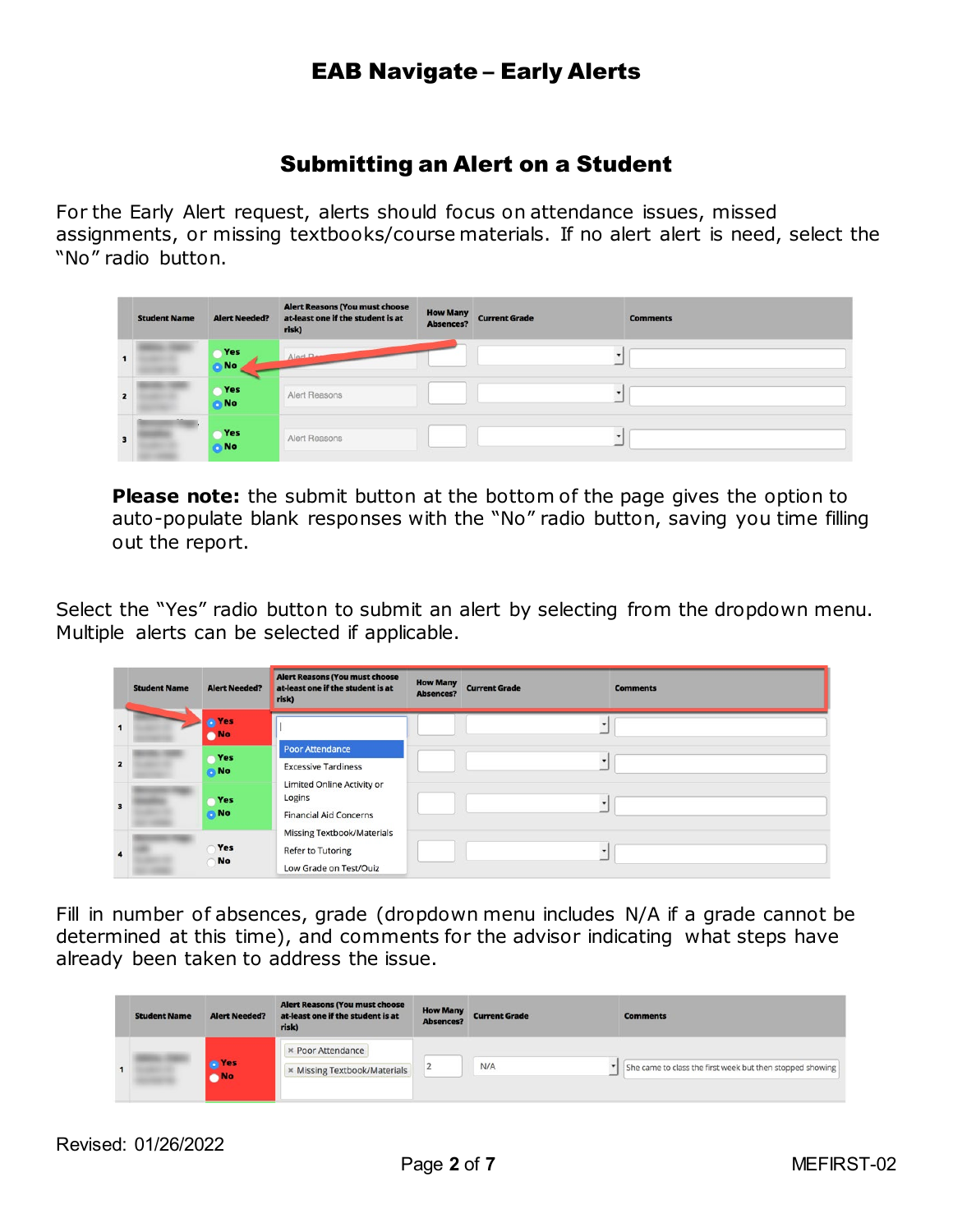### EAB Navigate – Early Alerts

### Submitting an Alert on a Student

For the Early Alert request, alerts should focus on attendance issues, missed assignments, or missing textbooks/course materials. If no alert alert is need, select the "No" radio button.

|   | <b>Student Name</b> | <b>Alert Needed?</b> | <b>Alert Reasons (You must choose</b><br>at-least one if the student is at<br>risk) | <b>How Many</b><br><b>Absences?</b> | <b>Current Grade</b> | <b>Comments</b> |
|---|---------------------|----------------------|-------------------------------------------------------------------------------------|-------------------------------------|----------------------|-----------------|
|   |                     | Yes<br>No.           | Alart                                                                               |                                     |                      |                 |
|   |                     | Yes<br>No.           | Alert Reasons                                                                       |                                     |                      |                 |
| з |                     | Yes<br><b>No</b>     | Alert Reasons                                                                       |                                     |                      |                 |

**Please note:** the submit button at the bottom of the page gives the option to auto-populate blank responses with the "No" radio button, saving you time filling out the report.

Select the "Yes" radio button to submit an alert by selecting from the dropdown menu. Multiple alerts can be selected if applicable.

|                         | <b>Student Name</b> | <b>Alert Needed?</b>    | <b>Alert Reasons (You must choose</b><br>at-least one if the student is at<br>risk)     | <b>How Many</b><br><b>Absences?</b> | <b>Current Grade</b> | <b>Comments</b> |
|-------------------------|---------------------|-------------------------|-----------------------------------------------------------------------------------------|-------------------------------------|----------------------|-----------------|
| 1                       |                     | <sup>o</sup> Yes<br>No. |                                                                                         |                                     |                      |                 |
| $\overline{\mathbf{z}}$ |                     | Yes<br><b>ON</b>        | <b>Poor Attendance</b><br><b>Excessive Tardiness</b>                                    |                                     |                      |                 |
| $\overline{\mathbf{3}}$ |                     | Yes<br><b>ON</b>        | Limited Online Activity or<br>Logins<br><b>Financial Aid Concerns</b>                   |                                     |                      |                 |
| $\ddot{\phantom{a}}$    |                     | Yes<br><b>No</b>        | <b>Missing Textbook/Materials</b><br><b>Refer to Tutoring</b><br>Low Grade on Test/Ouiz |                                     |                      |                 |

Fill in number of absences, grade (dropdown menu includes N/A if a grade cannot be determined at this time), and comments for the advisor indicating what steps have already been taken to address the issue.

| <b>Student Name</b> | <b>Alert Needed?</b> | <b>Alert Reasons (You must choose</b><br>at-least one if the student is at<br>risk) | <b>How Many</b><br><b>Absences?</b> | <b>Current Grade</b> | <b>Comments</b>                                           |
|---------------------|----------------------|-------------------------------------------------------------------------------------|-------------------------------------|----------------------|-----------------------------------------------------------|
| ٠                   | O Yes<br><b>No</b>   | <b>× Poor Attendance</b><br>* Missing Textbook/Materials                            |                                     | N/A                  | She came to class the first week but then stopped showing |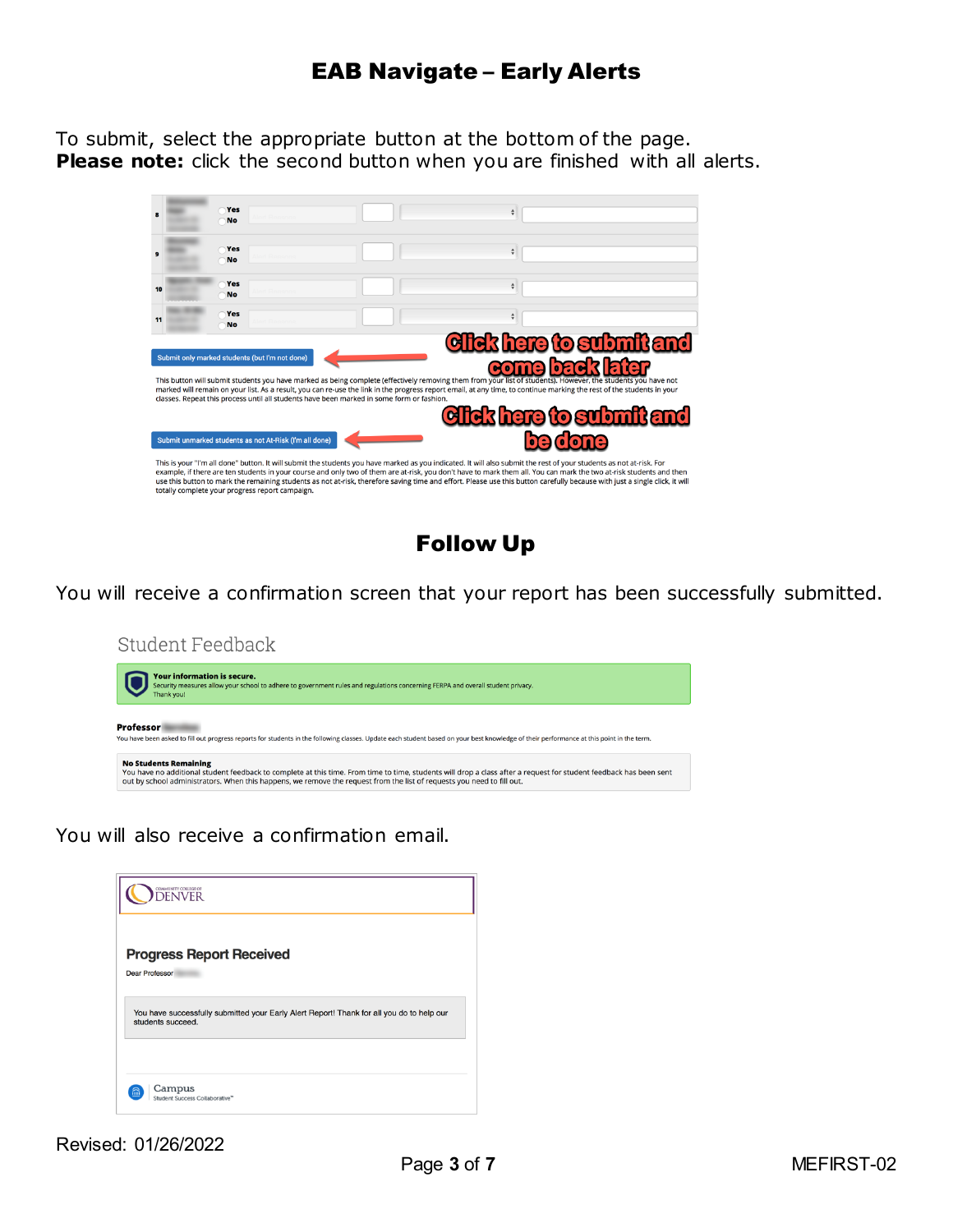### EAB Navigate – Early Alerts

To submit, select the appropriate button at the bottom of the page. **Please note:** click the second button when you are finished with all alerts.



Follow Up

You will receive a confirmation screen that your report has been successfully submitted.

Student Feedback

| <b>Your information is secure.</b><br>Security measures allow your school to adhere to government rules and regulations concerning FERPA and overall student privacy.<br>Thank you!                                                                                                                                          |
|------------------------------------------------------------------------------------------------------------------------------------------------------------------------------------------------------------------------------------------------------------------------------------------------------------------------------|
| <b>Professor</b><br>You have been asked to fill out progress reports for students in the following classes. Update each student based on your best knowledge of their performance at this point in the term.                                                                                                                 |
| <b>No Students Remaining</b><br>You have no additional student feedback to complete at this time. From time to time, students will drop a class after a request for student feedback has been sent<br>out by school administrators. When this happens, we remove the request from the list of requests you need to fill out. |

You will also receive a confirmation email.

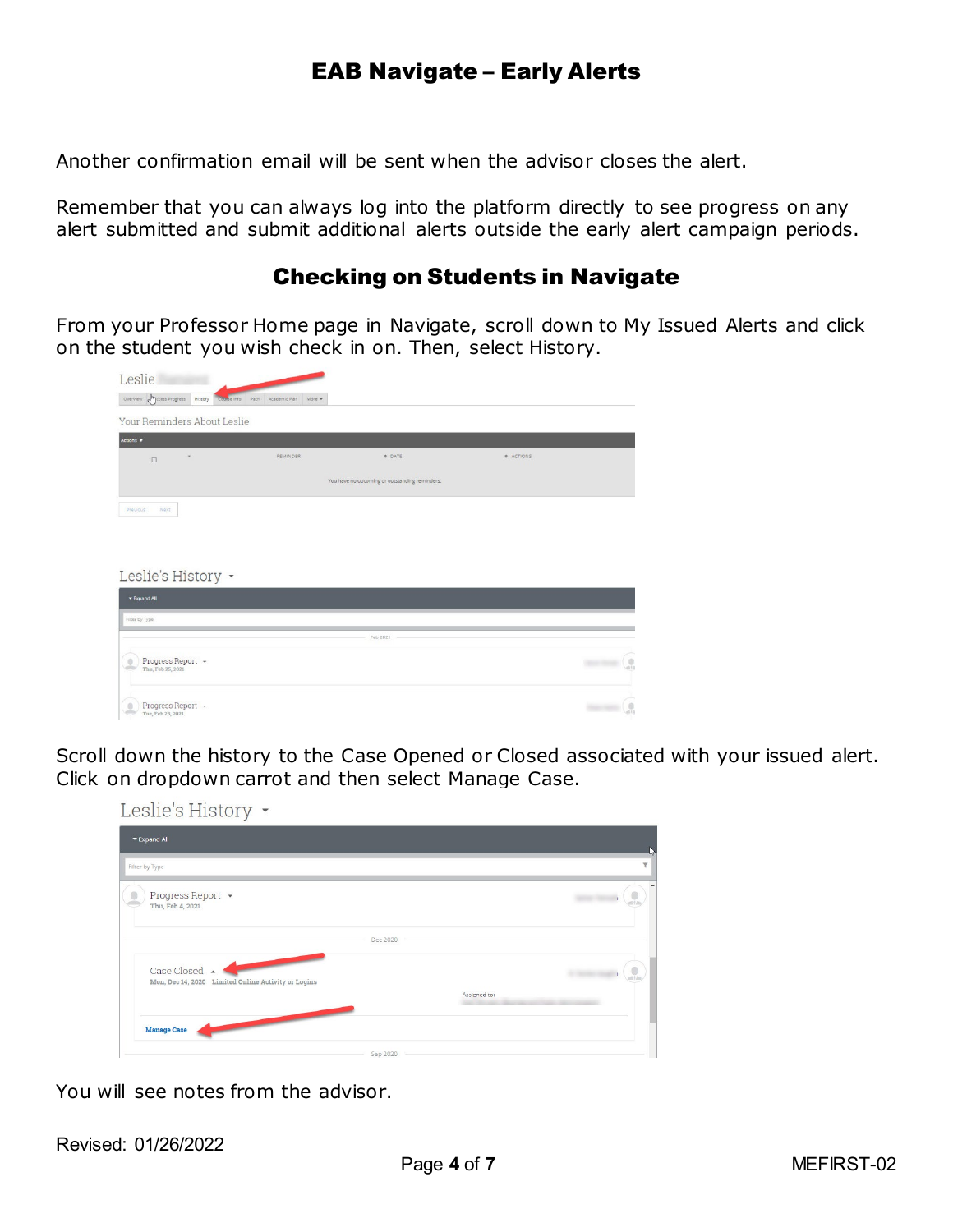## EAB Navigate – Early Alerts

Another confirmation email will be sent when the advisor closes the alert.

Remember that you can always log into the platform directly to see progress on any alert submitted and submit additional alerts outside the early alert campaign periods.

### Checking on Students in Navigate

From your Professor Home page in Navigate, scroll down to My Issued Alerts and click on the student you wish check in on. Then, select History.

| Leslie                                       |                                                 |                                                |           |                    |
|----------------------------------------------|-------------------------------------------------|------------------------------------------------|-----------|--------------------|
| Overview <b>Ampicess Progress</b><br>History | Course Info<br>Path.<br>Academic Plan<br>More - |                                                |           |                    |
| Your Reminders About Leslie                  |                                                 |                                                |           |                    |
| Actions <b>V</b>                             |                                                 |                                                |           |                    |
| $\overline{\phantom{a}}$<br>$\Box$           | REMINDER                                        | <b>C</b> DATE                                  | # ACTIONS |                    |
|                                              |                                                 | You have no upcoming or outstanding reminders. |           |                    |
| Next<br>Previous<br>Leslie's History -       |                                                 |                                                |           |                    |
| <b>v</b> Expand All                          |                                                 |                                                |           |                    |
| Filter by Type                               |                                                 |                                                |           |                    |
|                                              |                                                 | Feb 2021                                       |           |                    |
| Progress Report +<br>Thu, Feb 25, 2021       |                                                 |                                                |           | $\frac{0}{\alpha}$ |
| Progress Report -<br>Tue, Feb 23, 2021       |                                                 |                                                |           | $\mathcal{G}$      |

Scroll down the history to the Case Opened or Closed associated with your issued alert. Click on dropdown carrot and then select Manage Case.

| Leslie's History -                                                   |          |              |   |
|----------------------------------------------------------------------|----------|--------------|---|
| ▼ Expand All                                                         |          |              |   |
| Filter by Type                                                       |          |              | Y |
| Progress Report +<br>Thu, Feb 4, 2021                                |          |              |   |
|                                                                      | Dec 2020 |              |   |
| Case Closed A<br>Mon, Dec 14, 2020 Limited Online Activity or Logins |          |              |   |
|                                                                      |          | Assigned to: |   |
| <b>Manage Case</b>                                                   |          |              |   |
|                                                                      | Sep 2020 |              |   |

You will see notes from the advisor.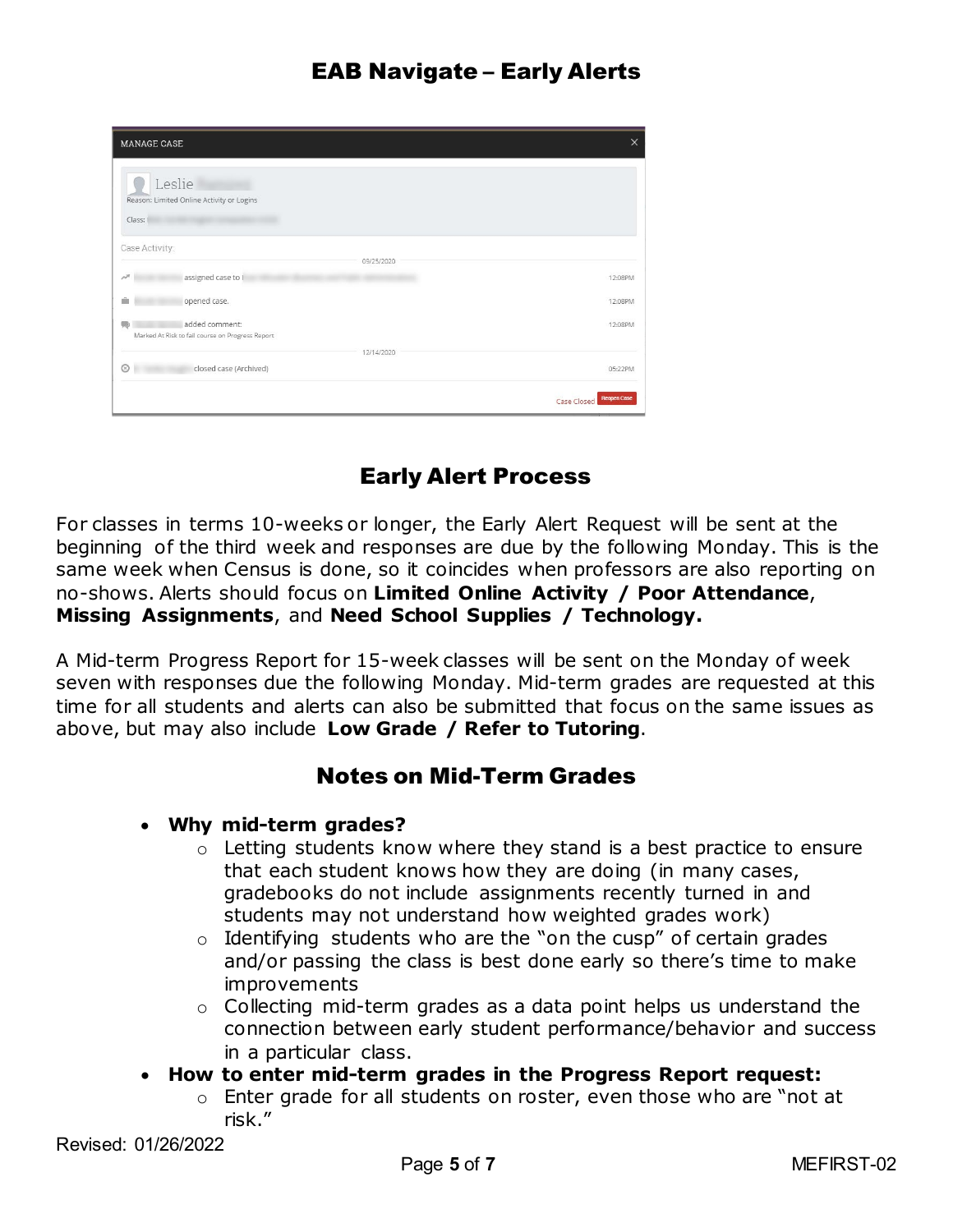| <b>MANAGE CASE</b>                                                        |            | $\times$                          |
|---------------------------------------------------------------------------|------------|-----------------------------------|
| Leslie<br>Reason: Limited Online Activity or Logins<br>Class:             |            |                                   |
| Case Activity:                                                            |            |                                   |
| assigned case to I<br>$\mathcal{N}^{\mathbb{R}}$                          | 09/25/2020 | 12:08PM                           |
| opened case.                                                              |            | 12:08PM                           |
| added comment:<br>69.<br>Marked At Risk to fail course on Progress Report |            | 12:08PM                           |
| $\odot$<br>closed case (Archived)                                         | 12/14/2020 | 05:22PM                           |
|                                                                           |            | <b>Reopen Case</b><br>Case Closed |

# Early Alert Process

For classes in terms 10-weeks or longer, the Early Alert Request will be sent at the beginning of the third week and responses are due by the following Monday. This is the same week when Census is done, so it coincides when professors are also reporting on no-shows. Alerts should focus on **Limited Online Activity / Poor Attendance**, **Missing Assignments**, and **Need School Supplies / Technology.**

A Mid-term Progress Report for 15-week classes will be sent on the Monday of week seven with responses due the following Monday. Mid-term grades are requested at this time for all students and alerts can also be submitted that focus on the same issues as above, but may also include **Low Grade / Refer to Tutoring**.

### Notes on Mid-Term Grades

#### • **Why mid-term grades?**

- o Letting students know where they stand is a best practice to ensure that each student knows how they are doing (in many cases, gradebooks do not include assignments recently turned in and students may not understand how weighted grades work)
- $\circ$  Identifying students who are the "on the cusp" of certain grades and/or passing the class is best done early so there's time to make improvements
- o Collecting mid-term grades as a data point helps us understand the connection between early student performance/behavior and success in a particular class.
- **How to enter mid-term grades in the Progress Report request:**
	- o Enter grade for all students on roster, even those who are "not at risk."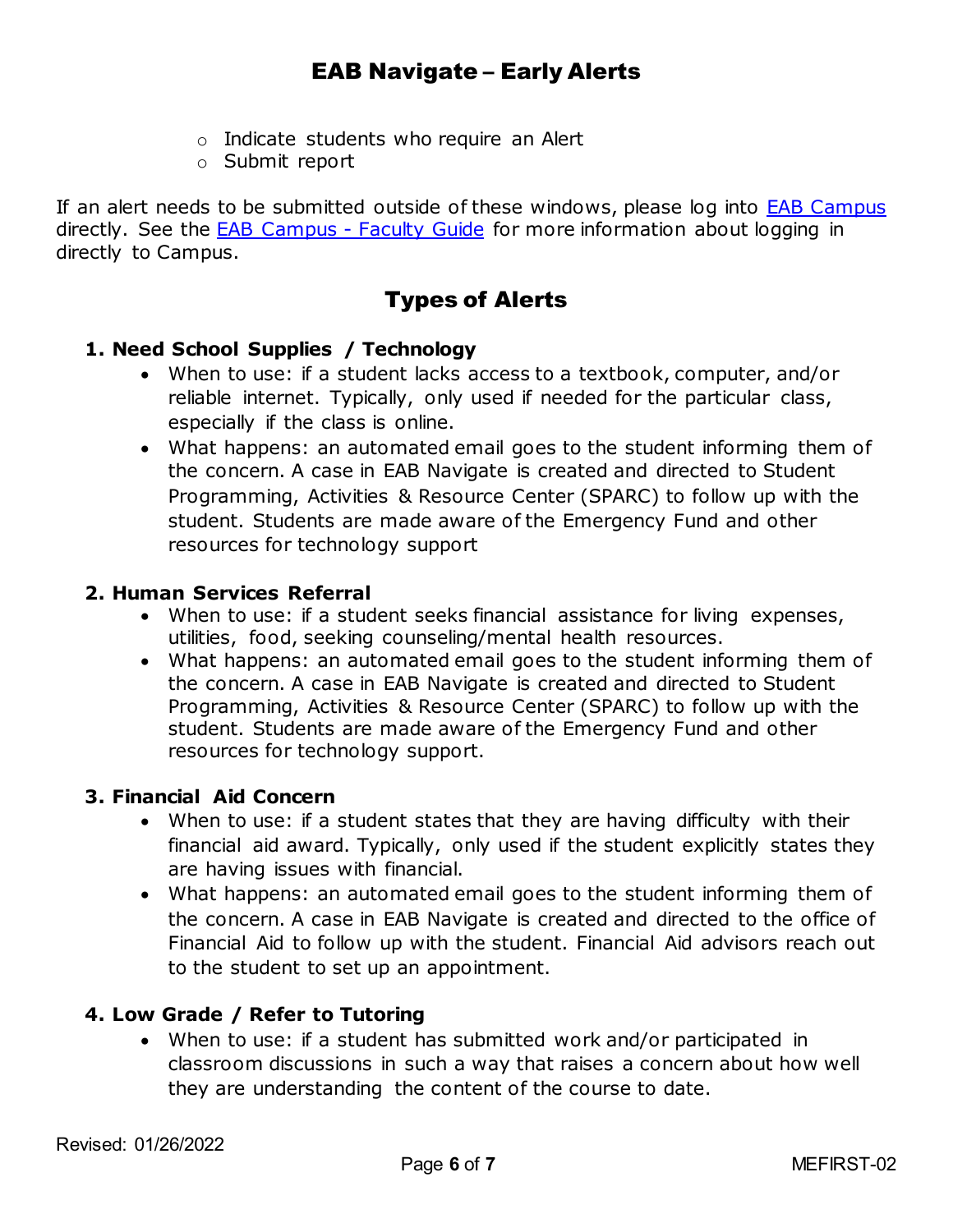- o Indicate students who require an Alert
- o Submit report

If an alert needs to be submitted outside of these windows, please log into [EAB Campus](https://ccd.campus.eab.com/home) directly. See the **EAB Campus - Faculty Guide** for more information about logging in directly to Campus.

# Types of Alerts

#### **1. Need School Supplies / Technology**

- When to use: if a student lacks access to a textbook, computer, and/or reliable internet. Typically, only used if needed for the particular class, especially if the class is online.
- What happens: an automated email goes to the student informing them of the concern. A case in EAB Navigate is created and directed to Student Programming, Activities & Resource Center (SPARC) to follow up with the student. Students are made aware of the Emergency Fund and other resources for technology support

#### **2. Human Services Referral**

- When to use: if a student seeks financial assistance for living expenses, utilities, food, seeking counseling/mental health resources.
- What happens: an automated email goes to the student informing them of the concern. A case in EAB Navigate is created and directed to Student Programming, Activities & Resource Center (SPARC) to follow up with the student. Students are made aware of the Emergency Fund and other resources for technology support.

#### **3. Financial Aid Concern**

- When to use: if a student states that they are having difficulty with their financial aid award. Typically, only used if the student explicitly states they are having issues with financial.
- What happens: an automated email goes to the student informing them of the concern. A case in EAB Navigate is created and directed to the office of Financial Aid to follow up with the student. Financial Aid advisors reach out to the student to set up an appointment.

#### **4. Low Grade / Refer to Tutoring**

• When to use: if a student has submitted work and/or participated in classroom discussions in such a way that raises a concern about how well they are understanding the content of the course to date.